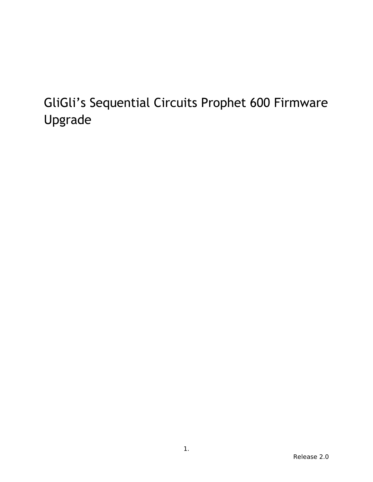# GliGli's Sequential Circuits Prophet 600 Firmware Upgrade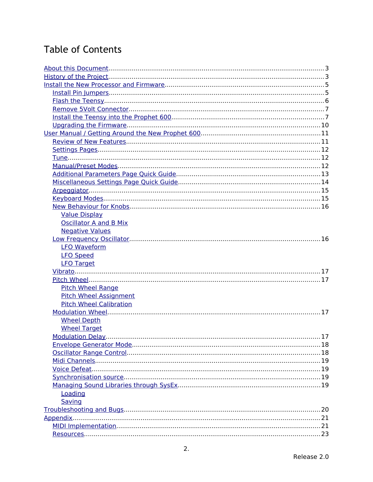# **Table of Contents**

<span id="page-1-0"></span>

| <b>Value Display</b>           |     |
|--------------------------------|-----|
| <b>Oscillator A and B Mix</b>  |     |
| <b>Negative Values</b>         |     |
|                                |     |
| <b>LFO Waveform</b>            |     |
| <b>LFO Speed</b>               |     |
| <b>LFO Target</b>              |     |
|                                |     |
|                                |     |
| <b>Pitch Wheel Range</b>       |     |
| <b>Pitch Wheel Assignment</b>  |     |
| <b>Pitch Wheel Calibration</b> |     |
|                                |     |
| <b>Wheel Depth</b>             |     |
| <b>Wheel Target</b>            |     |
|                                | .17 |
|                                |     |
|                                |     |
|                                |     |
|                                |     |
|                                |     |
|                                |     |
| Loading                        |     |
| Saving                         |     |
|                                |     |
|                                |     |
|                                |     |
|                                |     |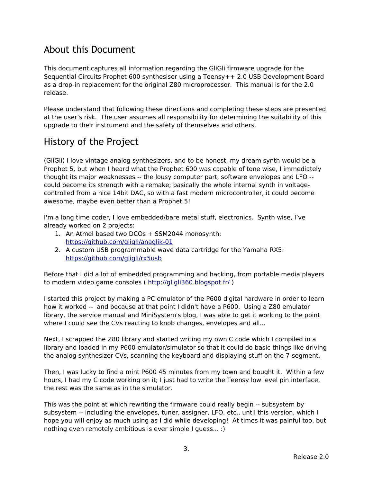# <span id="page-2-0"></span>About this Document

This document captures all information regarding the GliGli firmware upgrade for the Sequential Circuits Prophet 600 synthesiser using a Teensy++ 2.0 USB Development Board as a drop-in replacement for the original Z80 microprocessor. This manual is for the 2.0 release.

Please understand that following these directions and completing these steps are presented at the user's risk. The user assumes all responsibility for determining the suitability of this upgrade to their instrument and the safety of themselves and others.

# <span id="page-2-1"></span>History of the Project

(GliGli) I love vintage analog synthesizers, and to be honest, my dream synth would be a Prophet 5, but when I heard what the Prophet 600 was capable of tone wise, I immediately thought its major weaknesses -- the lousy computer part, software envelopes and LFO - could become its strength with a remake; basically the whole internal synth in voltagecontrolled from a nice 14bit DAC, so with a fast modern microcontroller, it could become awesome, maybe even better than a Prophet 5!

I'm a long time coder, I love embedded/bare metal stuff, electronics. Synth wise, I've already worked on 2 projects:

- 1. An Atmel based two DCOs + SSM2044 monosynth: https://github.com/gligli/anaglik-01
- 2. A custom USB programmable wave data cartridge for the Yamaha RX5: https://github.com/gligli/rx5usb

Before that I did a lot of embedded programming and hacking, from portable media players to modern video game consoles (http://gligli360.blogspot.fr/)

I started this project by making a PC emulator of the P600 digital hardware in order to learn how it worked -- and because at that point I didn't have a P600. Using a Z80 emulator library, the service manual and MiniSystem's blog, I was able to get it working to the point where I could see the CVs reacting to knob changes, envelopes and all...

Next, I scrapped the Z80 library and started writing my own C code which I compiled in a library and loaded in my P600 emulator/simulator so that it could do basic things like driving the analog synthesizer CVs, scanning the keyboard and displaying stuff on the 7-segment.

Then, I was lucky to find a mint P600 45 minutes from my town and bought it. Within a few hours, I had my C code working on it; I just had to write the Teensy low level pin interface, the rest was the same as in the simulator.

This was the point at which rewriting the firmware could really begin -- subsystem by subsystem -- including the envelopes, tuner, assigner, LFO. etc., until this version, which I hope you will enjoy as much using as I did while developing! At times it was painful too, but nothing even remotely ambitious is ever simple I guess... :)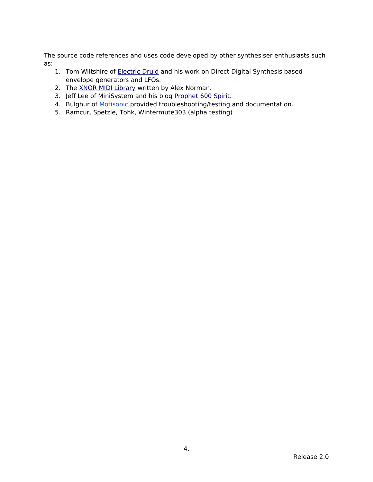The source code references and uses code developed by other synthesiser enthusiasts such as:

- 1. Tom Wiltshire of **Electric Druid** and his work on Direct Digital Synthesis based envelope generators and LFOs.
- 2. The [XNOR MIDI](https://github.com/x37v/xnormidi) [Library](https://github.com/x37v/xnormidi) written by Alex Norman.
- 3. Jeff Lee of MiniSystem and his blog [Prophet 600 Spirit.](http://prophet600.blogspot.com/)
- 4. Bulghur of [Motisonic](http://www.motisonic.com/) provided troubleshooting/testing and documentation.
- 5. Ramcur, Spetzle, Tohk, Wintermute303 (alpha testing)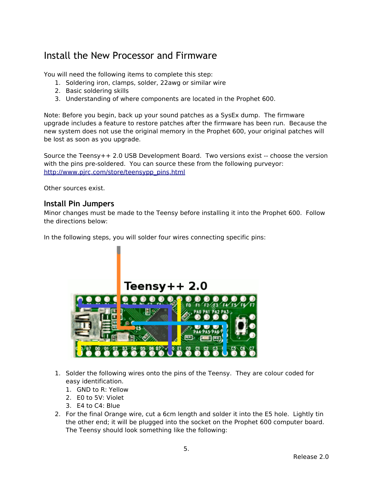# <span id="page-4-1"></span>Install the New Processor and Firmware

You will need the following items to complete this step:

- 1. Soldering iron, clamps, solder, 22awg or similar wire
- 2. Basic soldering skills
- 3. Understanding of where components are located in the Prophet 600.

Note: Before you begin, back up your sound patches as a SysEx dump. The firmware upgrade includes a feature to restore patches after the firmware has been run. Because the new system does not use the original memory in the Prophet 600, your original patches will be lost as soon as you upgrade.

Source the Teensy++ 2.0 USB Development Board. Two versions exist -- choose the version with the pins pre-soldered. You can source these from the following purveyor: http://www.pjrc.com/store/teensypp\_pins.html

Other sources exist.

### <span id="page-4-0"></span>**Install Pin Jumpers**

Minor changes must be made to the Teensy before installing it into the Prophet 600. Follow the directions below:

In the following steps, you will solder four wires connecting specific pins:

# Teensv++ 2.0



- 1. Solder the following wires onto the pins of the Teensy. They are colour coded for easy identification.
	- 1. GND to R: Yellow
	- 2. E0 to 5V: Violet
	- 3. E4 to C4: Blue
- 2. For the final Orange wire, cut a 6cm length and solder it into the E5 hole. Lightly tin the other end; it will be plugged into the socket on the Prophet 600 computer board. The Teensy should look something like the following: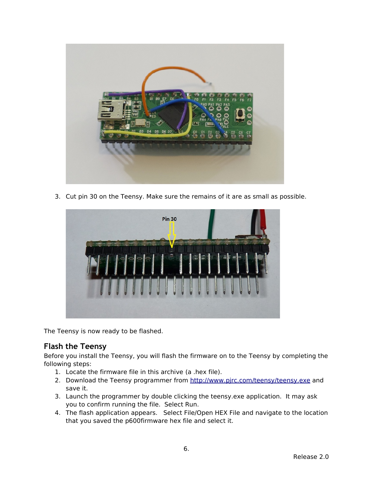

3. Cut pin 30 on the Teensy. Make sure the remains of it are as small as possible.



The Teensy is now ready to be flashed.

## <span id="page-5-0"></span>**Flash the Teensy**

Before you install the Teensy, you will flash the firmware on to the Teensy by completing the following steps:

- 1. Locate the firmware file in this archive (a .hex file).
- 2. Download the Teensy programmer from http://www.pirc.com/teensy/teensy.exe and save it.
- 3. Launch the programmer by double clicking the teensy.exe application. It may ask you to confirm running the file. Select Run.
- 4. The flash application appears. Select File/Open HEX File and navigate to the location that you saved the p600firmware hex file and select it.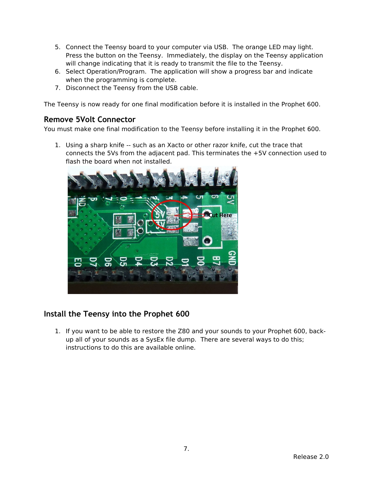- 5. Connect the Teensy board to your computer via USB. The orange LED may light. Press the button on the Teensy. Immediately, the display on the Teensy application will change indicating that it is ready to transmit the file to the Teensy.
- 6. Select Operation/Program. The application will show a progress bar and indicate when the programming is complete.
- 7. Disconnect the Teensy from the USB cable.

The Teensy is now ready for one final modification before it is installed in the Prophet 600.

### <span id="page-6-1"></span>**Remove 5Volt Connector**

You must make one final modification to the Teensy before installing it in the Prophet 600.

1. Using a sharp knife -- such as an Xacto or other razor knife, cut the trace that connects the 5Vs from the adjacent pad. This terminates the +5V connection used to flash the board when not installed.



## <span id="page-6-0"></span>**Install the Teensy into the Prophet 600**

1. If you want to be able to restore the Z80 and your sounds to your Prophet 600, backup all of your sounds as a SysEx file dump. There are several ways to do this; instructions to do this are available online.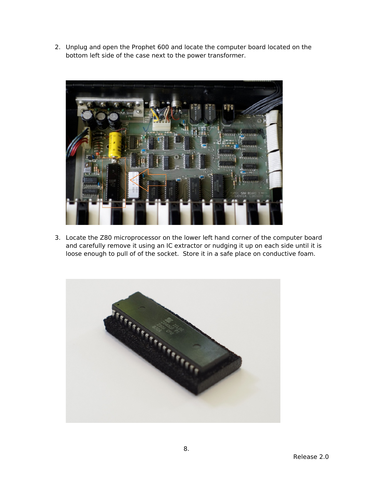2. Unplug and open the Prophet 600 and locate the computer board located on the bottom left side of the case next to the power transformer.



3. Locate the Z80 microprocessor on the lower left hand corner of the computer board and carefully remove it using an IC extractor or nudging it up on each side until it is loose enough to pull of of the socket. Store it in a safe place on conductive foam.

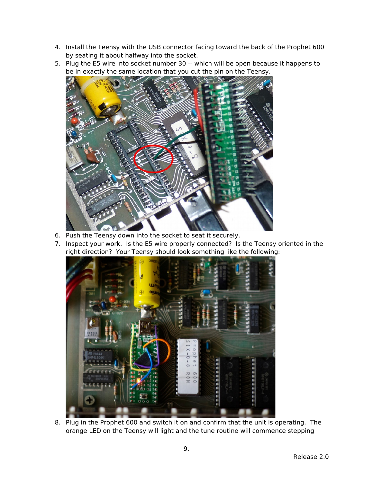- 4. Install the Teensy with the USB connector facing toward the back of the Prophet 600 by seating it about halfway into the socket.
- 5. Plug the E5 wire into socket number 30 -- which will be open because it happens to be in exactly the same location that you cut the pin on the Teensy.



- 6. Push the Teensy down into the socket to seat it securely.
- 7. Inspect your work. Is the E5 wire properly connected? Is the Teensy oriented in the right direction? Your Teensy should look something like the following:



8. Plug in the Prophet 600 and switch it on and confirm that the unit is operating. The orange LED on the Teensy will light and the tune routine will commence stepping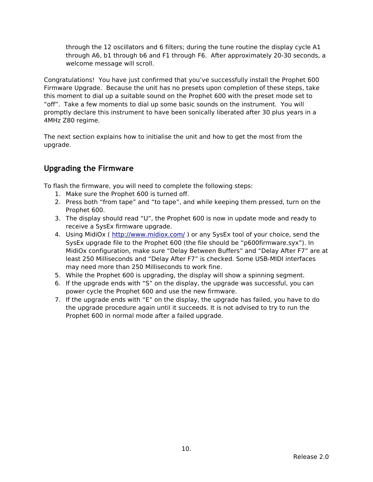through the 12 oscillators and 6 filters; during the tune routine the display cycle A1 through A6, b1 through b6 and F1 through F6. After approximately 20-30 seconds, a welcome message will scroll.

Congratulations! You have just confirmed that you've successfully install the Prophet 600 Firmware Upgrade. Because the unit has no presets upon completion of these steps, take this moment to dial up a suitable sound on the Prophet 600 with the preset mode set to "off". Take a few moments to dial up some basic sounds on the instrument. You will promptly declare this instrument to have been sonically liberated after 30 plus years in a 4MHz Z80 regime.

The next section explains how to initialise the unit and how to get the most from the upgrade.

# <span id="page-9-0"></span>**Upgrading the Firmware**

To flash the firmware, you will need to complete the following steps:

- 1. Make sure the Prophet 600 is turned off.
- 2. Press both "from tape" and "to tape", and while keeping them pressed, turn on the Prophet 600.
- 3. The display should read "U", the Prophet 600 is now in update mode and ready to receive a SysEx firmware upgrade.
- 4. Using MidiOx (http://www.midiox.com/) or any SysEx tool of your choice, send the SysEx upgrade file to the Prophet 600 (the file should be "p600firmware.syx"). In MidiOx configuration, make sure "Delay Between Buffers" and "Delay After F7" are at least 250 Milliseconds and "Delay After F7" is checked. Some USB-MIDI interfaces may need more than 250 Milliseconds to work fine.
- 5. While the Prophet 600 is upgrading, the display will show a spinning segment.
- 6. If the upgrade ends with "S" on the display, the upgrade was successful, you can power cycle the Prophet 600 and use the new firmware.
- 7. If the upgrade ends with "E" on the display, the upgrade has failed, you have to do the upgrade procedure again until it succeeds. It is not advised to try to run the Prophet 600 in normal mode after a failed upgrade.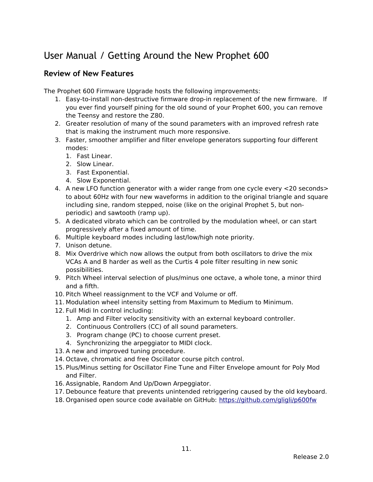# <span id="page-10-1"></span>User Manual / Getting Around the New Prophet 600

### <span id="page-10-0"></span>**Review of New Features**

The Prophet 600 Firmware Upgrade hosts the following improvements:

- 1. Easy-to-install non-destructive firmware drop-in replacement of the new firmware. If you ever find yourself pining for the old sound of your Prophet 600, you can remove the Teensy and restore the Z80.
- 2. Greater resolution of many of the sound parameters with an improved refresh rate that is making the instrument much more responsive.
- 3. Faster, smoother amplifier and filter envelope generators supporting four different modes:
	- 1. Fast Linear.
	- 2. Slow Linear.
	- 3. Fast Exponential.
	- 4. Slow Exponential.
- 4. A new LFO function generator with a wider range from one cycle every <20 seconds> to about 60Hz with four new waveforms in addition to the original triangle and square including sine, random stepped, noise (like on the original Prophet 5, but nonperiodic) and sawtooth (ramp up).
- 5. A dedicated vibrato which can be controlled by the modulation wheel, or can start progressively after a fixed amount of time.
- 6. Multiple keyboard modes including last/low/high note priority.
- 7. Unison detune.
- 8. Mix Overdrive which now allows the output from both oscillators to drive the mix VCAs A and B harder as well as the Curtis 4 pole filter resulting in new sonic possibilities.
- 9. Pitch Wheel interval selection of plus/minus one octave, a whole tone, a minor third and a fifth.
- 10. Pitch Wheel reassignment to the VCF and Volume or off.
- 11. Modulation wheel intensity setting from Maximum to Medium to Minimum.
- 12. Full Midi In control including:
	- 1. Amp and Filter velocity sensitivity with an external keyboard controller.
	- 2. Continuous Controllers (CC) of all sound parameters.
	- 3. Program change (PC) to choose current preset.
	- 4. Synchronizing the arpeggiator to MIDI clock.
- 13. A new and improved tuning procedure.
- 14. Octave, chromatic and free Oscillator course pitch control.
- 15. Plus/Minus setting for Oscillator Fine Tune and Filter Envelope amount for Poly Mod and Filter.
- 16. Assignable, Random And Up/Down Arpeggiator.
- 17. Debounce feature that prevents unintended retriggering caused by the old keyboard.
- 18. Organised open source code available on GitHub: https://github.com/gligli/p600fw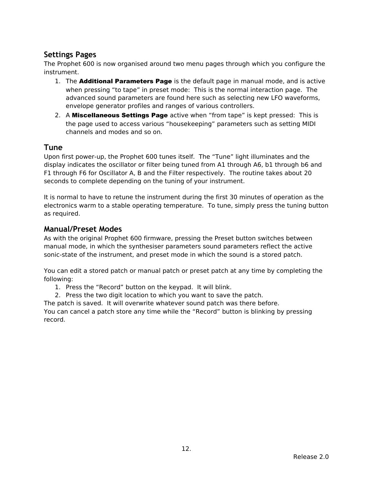## <span id="page-11-2"></span>**Settings Pages**

The Prophet 600 is now organised around two menu pages through which you configure the instrument.

- 1. The **Additional Parameters Page** is the default page in manual mode, and is active when pressing "to tape" in preset mode: This is the normal interaction page. The advanced sound parameters are found here such as selecting new LFO waveforms, envelope generator profiles and ranges of various controllers.
- 2. A Miscellaneous Settings Page active when "from tape" is kept pressed: This is the page used to access various "housekeeping" parameters such as setting MIDI channels and modes and so on.

### <span id="page-11-1"></span>**Tune**

Upon first power-up, the Prophet 600 tunes itself. The "Tune" light illuminates and the display indicates the oscillator or filter being tuned from A1 through A6, b1 through b6 and F1 through F6 for Oscillator A, B and the Filter respectively. The routine takes about 20 seconds to complete depending on the tuning of your instrument.

It is normal to have to retune the instrument during the first 30 minutes of operation as the electronics warm to a stable operating temperature. To tune, simply press the tuning button as required.

### <span id="page-11-0"></span>**Manual/Preset Modes**

As with the original Prophet 600 firmware, pressing the Preset button switches between manual mode, in which the synthesiser parameters sound parameters reflect the active sonic-state of the instrument, and preset mode in which the sound is a stored patch.

You can edit a stored patch or manual patch or preset patch at any time by completing the following:

- 1. Press the "Record" button on the keypad. It will blink.
- 2. Press the two digit location to which you want to save the patch.

The patch is saved. It will overwrite whatever sound patch was there before.

You can cancel a patch store any time while the "Record" button is blinking by pressing record.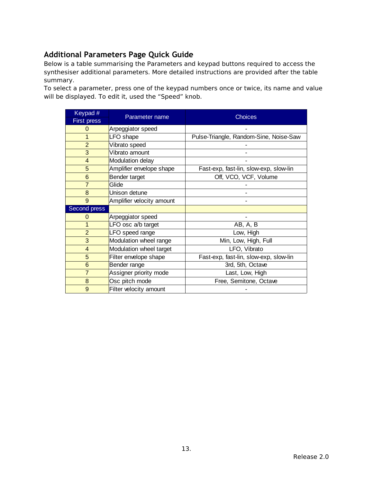# <span id="page-12-0"></span>**Additional Parameters Page Quick Guide**

Below is a table summarising the Parameters and keypad buttons required to access the synthesiser additional parameters. More detailed instructions are provided after the table summary.

To select a parameter, press one of the keypad numbers once or twice, its name and value will be displayed. To edit it, used the "Speed" knob.

| Keypad #           |                           | <b>Choices</b>                         |  |  |
|--------------------|---------------------------|----------------------------------------|--|--|
| <b>First press</b> | Parameter name            |                                        |  |  |
| $\Omega$           | Arpeggiator speed         |                                        |  |  |
| $\mathbf{1}$       | LFO shape                 | Pulse-Triangle, Random-Sine, Noise-Saw |  |  |
| $\overline{2}$     | Vibrato speed             |                                        |  |  |
| 3                  | Vibrato amount            |                                        |  |  |
| $\overline{4}$     | Modulation delay          |                                        |  |  |
| 5                  | Amplifier envelope shape  | Fast-exp, fast-lin, slow-exp, slow-lin |  |  |
| $6\phantom{1}6$    | Bender target             | Off, VCO, VCF, Volume                  |  |  |
| $\overline{7}$     | Glide                     |                                        |  |  |
| 8                  | Unison detune             |                                        |  |  |
| 9                  | Amplifier velocity amount |                                        |  |  |
| Second press       |                           |                                        |  |  |
| $\Omega$           | Arpeggiator speed         |                                        |  |  |
| $\mathbf{1}$       | LFO osc a/b target        | AB, A, B                               |  |  |
| $\overline{2}$     | LFO speed range           | Low, High                              |  |  |
| 3                  | Modulation wheel range    | Min, Low, High, Full                   |  |  |
| $\overline{4}$     | Modulation wheel target   | LFO, Vibrato                           |  |  |
| 5                  | Filter envelope shape     | Fast-exp, fast-lin, slow-exp, slow-lin |  |  |
| $6\phantom{1}$     | Bender range              | 3rd, 5th, Octave                       |  |  |
| $\overline{7}$     | Assigner priority mode    | Last, Low, High                        |  |  |
| 8                  | Osc pitch mode            | Free, Semitone, Octave                 |  |  |
| 9                  | Filter velocity amount    |                                        |  |  |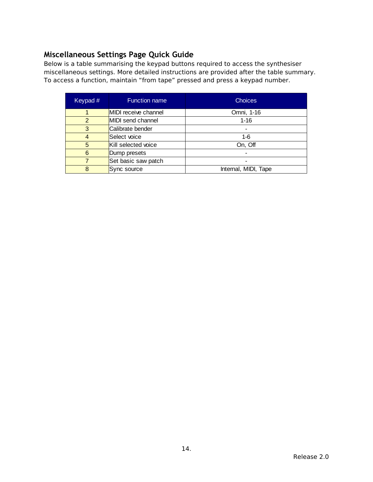# <span id="page-13-0"></span>**Miscellaneous Settings Page Quick Guide**

Below is a table summarising the keypad buttons required to access the synthesiser miscellaneous settings. More detailed instructions are provided after the table summary. To access a function, maintain "from tape" pressed and press a keypad number.

| Keypad $#$    | <b>Function name</b> | <b>Choices</b>       |  |
|---------------|----------------------|----------------------|--|
| $\mathbf{1}$  | MIDI receive channel | Omni, 1-16           |  |
| $\mathcal{P}$ | MIDI send channel    | $1 - 16$             |  |
| 3             | Calibrate bender     |                      |  |
| 4             | Select voice         | $1-6$                |  |
| 5             | Kill selected voice  | On, Off              |  |
| 6             | Dump presets         |                      |  |
|               | Set basic saw patch  |                      |  |
| 8             | Sync source          | Internal, MIDI, Tape |  |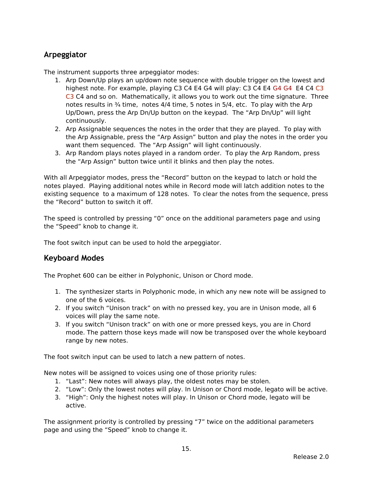### <span id="page-14-1"></span>**Arpeggiator**

The instrument supports three arpeggiator modes:

- 1. Arp Down/Up plays an up/down note sequence with double trigger on the lowest and highest note. For example, playing C3 C4 E4 G4 will play: C3 C4 E4 G4 G4 E4 C4 C3 C3 C4 and so on. Mathematically, it allows you to work out the time signature. Three notes results in  $\frac{3}{4}$  time, notes  $\frac{4}{4}$  time, 5 notes in 5/4, etc. To play with the Arp Up/Down, press the Arp Dn/Up button on the keypad. The "Arp Dn/Up" will light continuously.
- 2. Arp Assignable sequences the notes in the order that they are played. To play with the Arp Assignable, press the "Arp Assign" button and play the notes in the order you want them sequenced. The "Arp Assign" will light continuously.
- 3. Arp Random plays notes played in a random order. To play the Arp Random, press the "Arp Assign" button twice until it blinks and then play the notes.

With all Arpeggiator modes, press the "Record" button on the keypad to latch or hold the notes played. Playing additional notes while in Record mode will latch addition notes to the existing sequence to a maximum of 128 notes. To clear the notes from the sequence, press the "Record" button to switch it off.

The speed is controlled by pressing "0" once on the additional parameters page and using the "Speed" knob to change it.

The foot switch input can be used to hold the arpeggiator.

### <span id="page-14-0"></span>**Keyboard Modes**

The Prophet 600 can be either in Polyphonic, Unison or Chord mode.

- 1. The synthesizer starts in Polyphonic mode, in which any new note will be assigned to one of the 6 voices.
- 2. If you switch "Unison track" on with no pressed key, you are in Unison mode, all 6 voices will play the same note.
- 3. If you switch "Unison track" on with one or more pressed keys, you are in Chord mode. The pattern those keys made will now be transposed over the whole keyboard range by new notes.

The foot switch input can be used to latch a new pattern of notes.

New notes will be assigned to voices using one of those priority rules:

- 1. "Last": New notes will always play, the oldest notes may be stolen.
- 2. "Low": Only the lowest notes will play. In Unison or Chord mode, legato will be active.
- 3. "High": Only the highest notes will play. In Unison or Chord mode, legato will be active.

The assignment priority is controlled by pressing "7" twice on the additional parameters page and using the "Speed" knob to change it.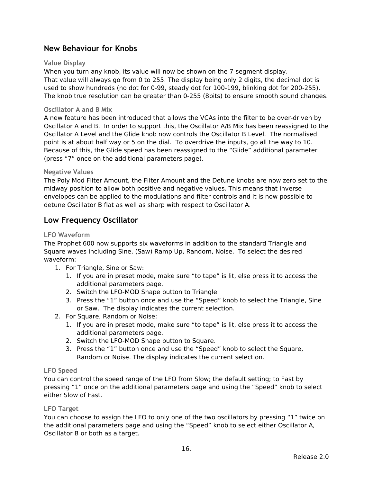## <span id="page-15-6"></span>**New Behaviour for Knobs**

#### <span id="page-15-5"></span>**Value Display**

When you turn any knob, its value will now be shown on the 7-segment display. That value will always go from 0 to 255. The display being only 2 digits, the decimal dot is used to show hundreds (no dot for 0-99, steady dot for 100-199, blinking dot for 200-255). The knob true resolution can be greater than 0-255 (8bits) to ensure smooth sound changes.

#### **Oscillator A and B Mix**

A new feature has been introduced that allows the VCAs into the filter to be over-driven by Oscillator A and B. In order to support this, the Oscillator A/B Mix has been reassigned to the Oscillator A Level and the Glide knob now controls the Oscillator B Level. The normalised point is at about half way or 5 on the dial. To overdrive the inputs, go all the way to 10. Because of this, the Glide speed has been reassigned to the "Glide" additional parameter (press "7" once on the additional parameters page).

#### <span id="page-15-4"></span>**Negative Values**

The Poly Mod Filter Amount, the Filter Amount and the Detune knobs are now zero set to the midway position to allow both positive and negative values. This means that inverse envelopes can be applied to the modulations and filter controls and it is now possible to detune Oscillator B flat as well as sharp with respect to Oscillator A.

### <span id="page-15-3"></span>**Low Frequency Oscillator**

#### <span id="page-15-2"></span>**LFO Waveform**

The Prophet 600 now supports six waveforms in addition to the standard Triangle and Square waves including Sine, (Saw) Ramp Up, Random, Noise. To select the desired waveform:

- 1. For Triangle, Sine or Saw:
	- 1. If you are in preset mode, make sure "to tape" is lit, else press it to access the additional parameters page.
	- 2. Switch the LFO-MOD Shape button to Triangle.
	- 3. Press the "1" button once and use the "Speed" knob to select the Triangle, Sine or Saw. The display indicates the current selection.
- 2. For Square, Random or Noise:
	- 1. If you are in preset mode, make sure "to tape" is lit, else press it to access the additional parameters page.
	- 2. Switch the LFO-MOD Shape button to Square.
	- 3. Press the "1" button once and use the "Speed" knob to select the Square, Random or Noise. The display indicates the current selection.

#### <span id="page-15-1"></span>**LFO Speed**

You can control the speed range of the LFO from Slow; the default setting; to Fast by pressing "1" once on the additional parameters page and using the "Speed" knob to select either Slow of Fast.

#### <span id="page-15-0"></span>**LFO Target**

You can choose to assign the LFO to only one of the two oscillators by pressing "1" twice on the additional parameters page and using the "Speed" knob to select either Oscillator A, Oscillator B or both as a target.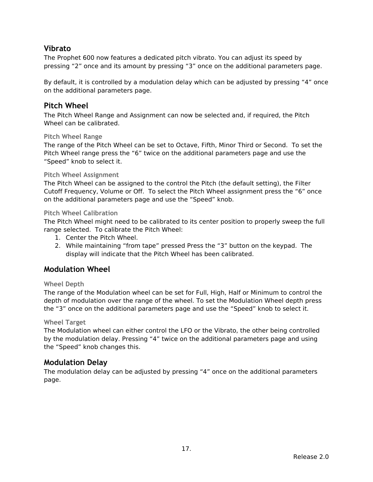## <span id="page-16-8"></span>**Vibrato**

The Prophet 600 now features a dedicated pitch vibrato. You can adjust its speed by pressing "2" once and its amount by pressing "3" once on the additional parameters page.

By default, it is controlled by a modulation delay which can be adjusted by pressing "4" once on the additional parameters page.

### <span id="page-16-7"></span>**Pitch Wheel**

The Pitch Wheel Range and Assignment can now be selected and, if required, the Pitch Wheel can be calibrated.

#### <span id="page-16-6"></span>**Pitch Wheel Range**

The range of the Pitch Wheel can be set to Octave, Fifth, Minor Third or Second. To set the Pitch Wheel range press the "6" twice on the additional parameters page and use the "Speed" knob to select it.

#### <span id="page-16-5"></span>**Pitch Wheel Assignment**

The Pitch Wheel can be assigned to the control the Pitch (the default setting), the Filter Cutoff Frequency, Volume or Off. To select the Pitch Wheel assignment press the "6" once on the additional parameters page and use the "Speed" knob.

#### <span id="page-16-4"></span>**Pitch Wheel Calibration**

The Pitch Wheel might need to be calibrated to its center position to properly sweep the full range selected. To calibrate the Pitch Wheel:

- 1. Center the Pitch Wheel.
- 2. While maintaining "from tape" pressed Press the "3" button on the keypad. The display will indicate that the Pitch Wheel has been calibrated.

### <span id="page-16-3"></span>**Modulation Wheel**

#### <span id="page-16-2"></span>**Wheel Depth**

The range of the Modulation wheel can be set for Full, High, Half or Minimum to control the depth of modulation over the range of the wheel. To set the Modulation Wheel depth press the "3" once on the additional parameters page and use the "Speed" knob to select it.

#### <span id="page-16-1"></span>**Wheel Target**

The Modulation wheel can either control the LFO or the Vibrato, the other being controlled by the modulation delay. Pressing "4" twice on the additional parameters page and using the "Speed" knob changes this.

### <span id="page-16-0"></span>**Modulation Delay**

The modulation delay can be adjusted by pressing "4" once on the additional parameters page.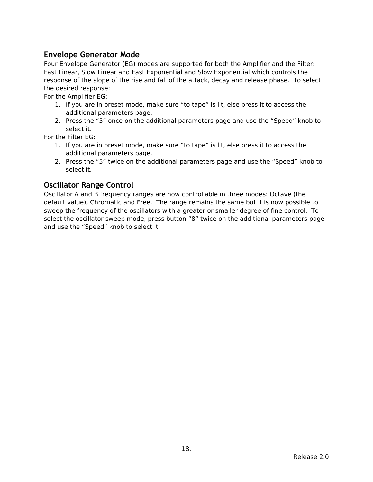## <span id="page-17-1"></span>**Envelope Generator Mode**

Four Envelope Generator (EG) modes are supported for both the Amplifier and the Filter: Fast Linear, Slow Linear and Fast Exponential and Slow Exponential which controls the response of the slope of the rise and fall of the attack, decay and release phase. To select the desired response:

For the Amplifier EG:

- 1. If you are in preset mode, make sure "to tape" is lit, else press it to access the additional parameters page.
- 2. Press the "5" once on the additional parameters page and use the "Speed" knob to select it.

For the Filter EG:

- 1. If you are in preset mode, make sure "to tape" is lit, else press it to access the additional parameters page.
- 2. Press the "5" twice on the additional parameters page and use the "Speed" knob to select it.

## <span id="page-17-0"></span>**Oscillator Range Control**

Oscillator A and B frequency ranges are now controllable in three modes: Octave (the default value), Chromatic and Free. The range remains the same but it is now possible to sweep the frequency of the oscillators with a greater or smaller degree of fine control. To select the oscillator sweep mode, press button "8" twice on the additional parameters page and use the "Speed" knob to select it.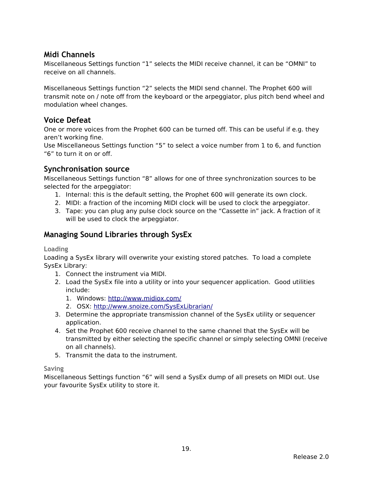## <span id="page-18-5"></span>**Midi Channels**

Miscellaneous Settings function "1" selects the MIDI receive channel, it can be "OMNI" to receive on all channels.

Miscellaneous Settings function "2" selects the MIDI send channel. The Prophet 600 will transmit note on / note off from the keyboard or the arpeggiator, plus pitch bend wheel and modulation wheel changes.

### <span id="page-18-4"></span>**Voice Defeat**

One or more voices from the Prophet 600 can be turned off. This can be useful if e.g. they aren't working fine.

Use Miscellaneous Settings function "5" to select a voice number from 1 to 6, and function "6" to turn it on or off.

### <span id="page-18-3"></span>**Synchronisation source**

Miscellaneous Settings function "8" allows for one of three synchronization sources to be selected for the arpeggiator:

- 1. Internal: this is the default setting, the Prophet 600 will generate its own clock.
- 2. MIDI: a fraction of the incoming MIDI clock will be used to clock the arpeggiator.
- 3. Tape: you can plug any pulse clock source on the "Cassette in" jack. A fraction of it will be used to clock the arpeggiator.

## <span id="page-18-2"></span>**Managing Sound Libraries through SysEx**

<span id="page-18-1"></span>**Loading**

Loading a SysEx library will overwrite your existing stored patches. To load a complete SysEx Library:

- 1. Connect the instrument via MIDI.
- 2. Load the SysEx file into a utility or into your sequencer application. Good utilities include:
	- 1. Windows: http://www.midiox.com/
	- 2. OSX: http://www.snoize.com/SysExLibrarian/
- 3. Determine the appropriate transmission channel of the SysEx utility or sequencer application.
- 4. Set the Prophet 600 receive channel to the same channel that the SysEx will be transmitted by either selecting the specific channel or simply selecting OMNI (receive on all channels).
- 5. Transmit the data to the instrument.

#### <span id="page-18-0"></span>**Saving**

Miscellaneous Settings function "6" will send a SysEx dump of all presets on MIDI out. Use your favourite SysEx utility to store it.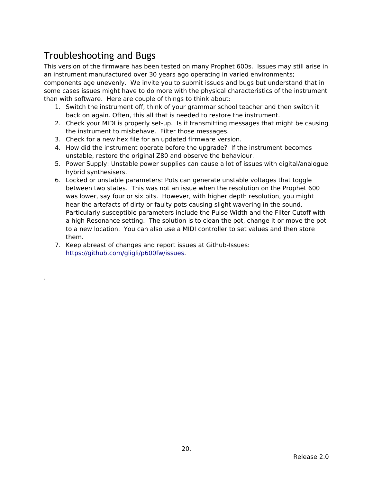# <span id="page-19-0"></span>Troubleshooting and Bugs

.

This version of the firmware has been tested on many Prophet 600s. Issues may still arise in an instrument manufactured over 30 years ago operating in varied environments;

components age unevenly. We invite you to submit issues and bugs but understand that in some cases issues might have to do more with the physical characteristics of the instrument than with software. Here are couple of things to think about:

- 1. Switch the instrument off, think of your grammar school teacher and then switch it back on again. Often, this all that is needed to restore the instrument.
- 2. Check your MIDI is properly set-up. Is it transmitting messages that might be causing the instrument to misbehave. Filter those messages.
- 3. Check for a new hex file for an updated firmware version.
- 4. How did the instrument operate before the upgrade? If the instrument becomes unstable, restore the original Z80 and observe the behaviour.
- 5. Power Supply: Unstable power supplies can cause a lot of issues with digital/analogue hybrid synthesisers.
- 6. Locked or unstable parameters: Pots can generate unstable voltages that toggle between two states. This was not an issue when the resolution on the Prophet 600 was lower, say four or six bits. However, with higher depth resolution, you might hear the artefacts of dirty or faulty pots causing slight wavering in the sound. Particularly susceptible parameters include the Pulse Width and the Filter Cutoff with a high Resonance setting. The solution is to clean the pot, change it or move the pot to a new location. You can also use a MIDI controller to set values and then store them.
- 7. Keep abreast of changes and report issues at Github-Issues: https://github.com/gligli/p600fw/issues.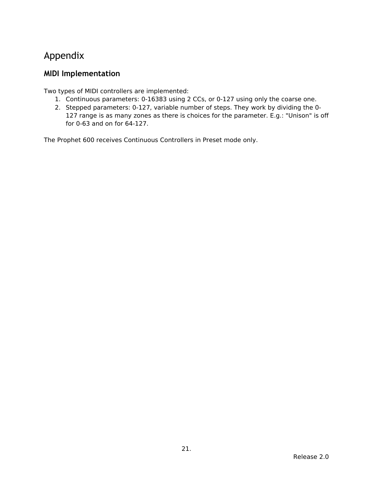# <span id="page-20-1"></span>Appendix

# <span id="page-20-0"></span>**MIDI Implementation**

Two types of MIDI controllers are implemented:

- 1. Continuous parameters: 0-16383 using 2 CCs, or 0-127 using only the coarse one.
- 2. Stepped parameters: 0-127, variable number of steps. They work by dividing the 0- 127 range is as many zones as there is choices for the parameter. E.g.: "Unison" is off for 0-63 and on for 64-127.

The Prophet 600 receives Continuous Controllers in Preset mode only.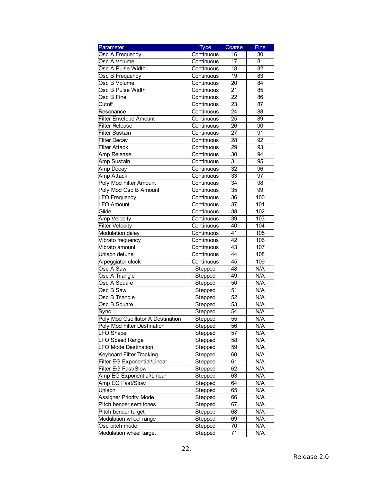| Parameter                         | <b>Type</b> | Coarse | Fine |
|-----------------------------------|-------------|--------|------|
| Osc A Frequency                   | Continuous  | 16     | 80   |
| Osc A Volume                      | Continuous  | 17     | 81   |
| Osc A Pulse Width                 | Continuous  | 18     | 82   |
| Osc B Frequency                   | Continuous  | 19     | 83   |
| Osc B Volume                      | Continuous  | 20     | 84   |
| Osc B Pulse Width                 | Continuous  | 21     | 85   |
| Osc B Fine                        | Continuous  | 22     | 86   |
| Cutoff                            | Continuous  | 23     | 87   |
| Resonance                         | Continuous  | 24     | 88   |
| <b>Filter Envelope Amount</b>     | Continuous  | 25     | 89   |
| <b>Filter Release</b>             | Continuous  | 26     | 90   |
| <b>Filter Sustain</b>             | Continuous  | 27     | 91   |
| <b>Filter Decay</b>               | Continuous  | 28     | 92   |
| <b>Filter Attack</b>              | Continuous  | 29     | 93   |
| Amp Release                       | Continuous  | 30     | 94   |
| Amp Sustain                       | Continuous  | 31     | 95   |
| Amp Decay                         | Continuous  | 32     | 96   |
| Amp Attack                        | Continuous  | 33     | 97   |
| Poly Mod Filter Amount            | Continuous  | 34     | 98   |
| Poly Mod Osc B Amount             | Continuous  | 35     | 99   |
| LFO Frequency                     | Continuous  | 36     | 100  |
| <b>LFO Amount</b>                 | Continuous  | 37     | 101  |
| Glide                             | Continuous  | 38     | 102  |
| Amp Velocity                      | Continuous  | 39     | 103  |
| <b>Filter Velocity</b>            | Continuous  | 40     | 104  |
| Modulation delay                  | Continuous  | 41     | 105  |
| Vibrato frequency                 | Continuous  | 42     | 106  |
| Vibrato amount                    | Continuous  | 43     | 107  |
| Unison detune                     | Continuous  | 44     | 108  |
| Arpeggiator clock                 | Continuous  | 45     | 109  |
| Osc A Saw                         | Stepped     | 48     | N/A  |
| Osc A Triangle                    | Stepped     | 49     | N/A  |
| Osc A Square                      | Stepped     | 50     | N/A  |
| Osc B Saw                         | Stepped     | 51     | N/A  |
| Osc B Triangle                    | Stepped     | 52     | N/A  |
| Osc B Square                      | Stepped     | 53     | N/A  |
| Sync                              | Stepped     | 54     | N/A  |
| Poly Mod Oscillator A Destination | Stepped     | 55     | N/A  |
| Poly Mod Filter Destination       | Stepped     | 56     | N/A  |
| LFO Shape                         | Stepped     | 57     | N/A  |
| <b>LFO Speed Range</b>            | Stepped     | 58     | N/A  |
| <b>LFO Mode Destination</b>       | Stepped     | 59     | N/A  |
| Keyboard Filter Tracking          | Stepped     | 60     | N/A  |
| Filter EG Exponential/Linear      | Stepped     | 61     | N/A  |
| Filter EG Fast/Slow               | Stepped     | 62     | N/A  |
| Amp EG Exponential/Linear         | Stepped     | 63     | N/A  |
| Amp EG Fast/Slow                  | Stepped     | 64     | N/A  |
| Unison                            | Stepped     | 65     | N/A  |
| <b>Assigner Priority Mode</b>     | Stepped     | 66     | N/A  |
| Pitch bender semitones            | Stepped     | 67     | N/A  |
| Pitch bender target               | Stepped     | 68     | N/A  |
| Modulation wheel range            | Stepped     | 69     | N/A  |
| Osc pitch mode                    | Stepped     | 70     | N/A  |
| Modulation wheel target           | Stepped     | 71     | N/A  |